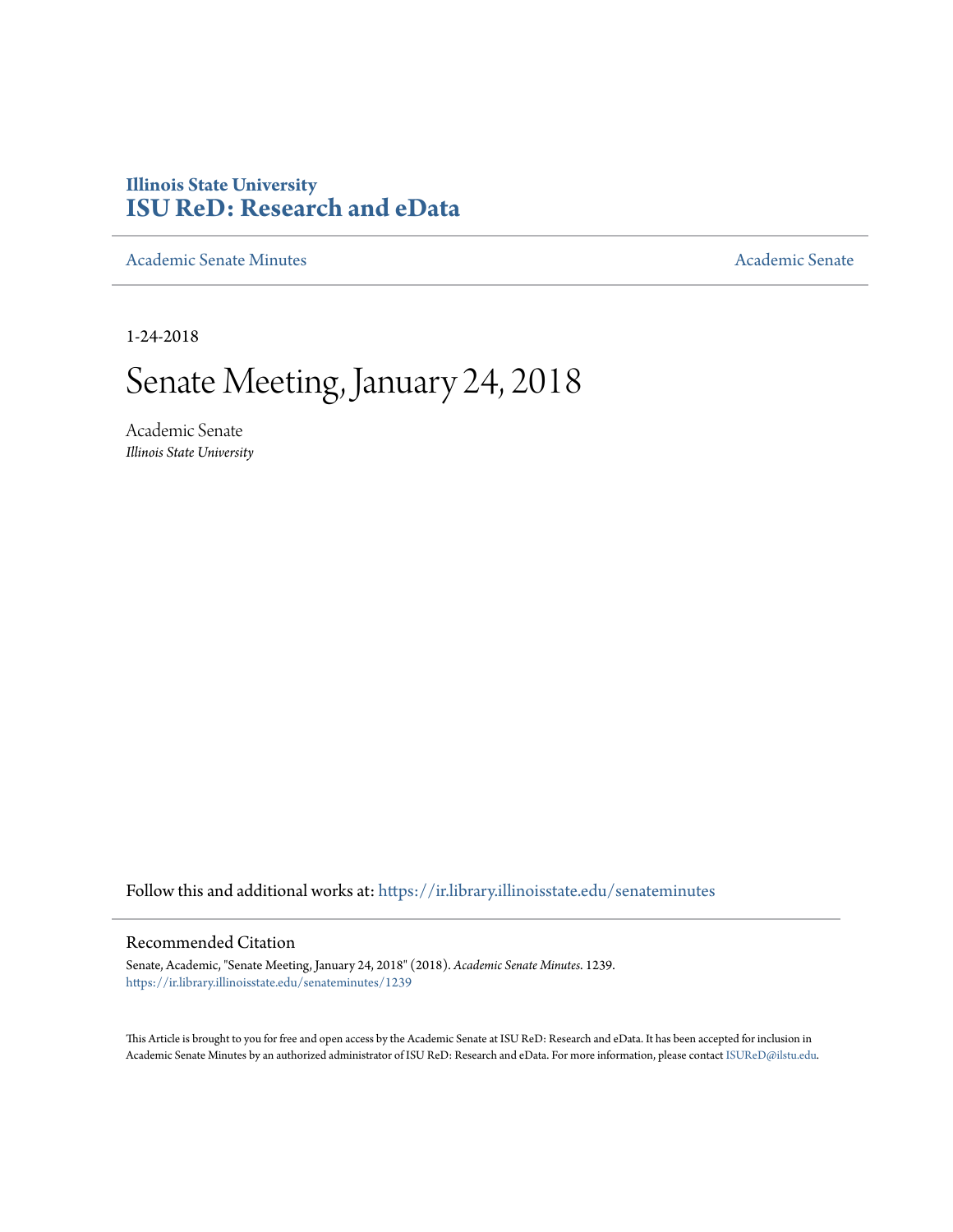## **Illinois State University [ISU ReD: Research and eData](https://ir.library.illinoisstate.edu?utm_source=ir.library.illinoisstate.edu%2Fsenateminutes%2F1239&utm_medium=PDF&utm_campaign=PDFCoverPages)**

[Academic Senate Minutes](https://ir.library.illinoisstate.edu/senateminutes?utm_source=ir.library.illinoisstate.edu%2Fsenateminutes%2F1239&utm_medium=PDF&utm_campaign=PDFCoverPages) [Academic Senate](https://ir.library.illinoisstate.edu/senate?utm_source=ir.library.illinoisstate.edu%2Fsenateminutes%2F1239&utm_medium=PDF&utm_campaign=PDFCoverPages) Academic Senate

1-24-2018

# Senate Meeting, January 24, 2018

Academic Senate *Illinois State University*

Follow this and additional works at: [https://ir.library.illinoisstate.edu/senateminutes](https://ir.library.illinoisstate.edu/senateminutes?utm_source=ir.library.illinoisstate.edu%2Fsenateminutes%2F1239&utm_medium=PDF&utm_campaign=PDFCoverPages)

#### Recommended Citation

Senate, Academic, "Senate Meeting, January 24, 2018" (2018). *Academic Senate Minutes*. 1239. [https://ir.library.illinoisstate.edu/senateminutes/1239](https://ir.library.illinoisstate.edu/senateminutes/1239?utm_source=ir.library.illinoisstate.edu%2Fsenateminutes%2F1239&utm_medium=PDF&utm_campaign=PDFCoverPages)

This Article is brought to you for free and open access by the Academic Senate at ISU ReD: Research and eData. It has been accepted for inclusion in Academic Senate Minutes by an authorized administrator of ISU ReD: Research and eData. For more information, please contact [ISUReD@ilstu.edu.](mailto:ISUReD@ilstu.edu)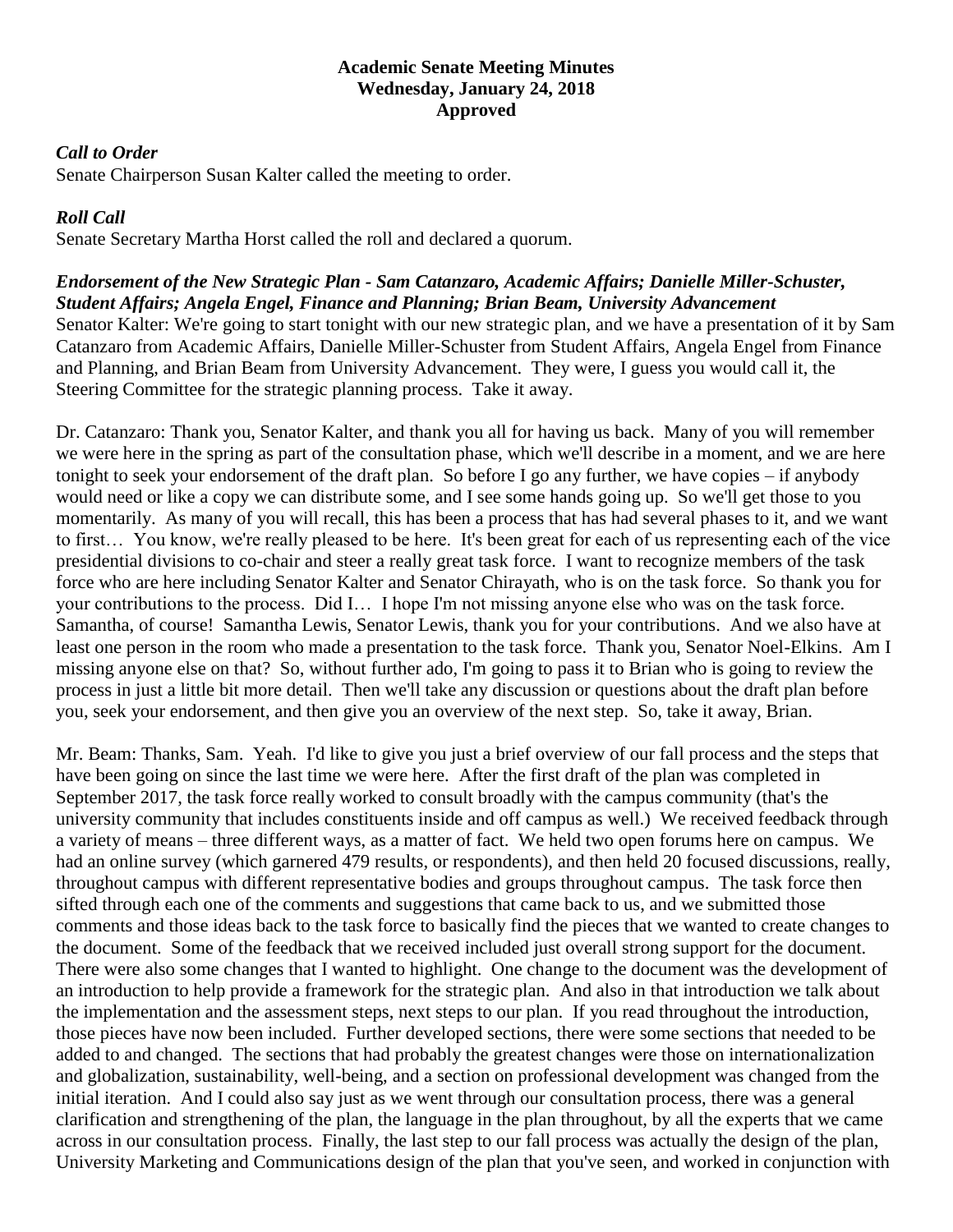#### **Academic Senate Meeting Minutes Wednesday, January 24, 2018 Approved**

#### *Call to Order*

Senate Chairperson Susan Kalter called the meeting to order.

#### *Roll Call*

Senate Secretary Martha Horst called the roll and declared a quorum.

*Endorsement of the New Strategic Plan - Sam Catanzaro, Academic Affairs; Danielle Miller-Schuster, Student Affairs; Angela Engel, Finance and Planning; Brian Beam, University Advancement* Senator Kalter: We're going to start tonight with our new strategic plan, and we have a presentation of it by Sam Catanzaro from Academic Affairs, Danielle Miller-Schuster from Student Affairs, Angela Engel from Finance and Planning, and Brian Beam from University Advancement. They were, I guess you would call it, the Steering Committee for the strategic planning process. Take it away.

Dr. Catanzaro: Thank you, Senator Kalter, and thank you all for having us back. Many of you will remember we were here in the spring as part of the consultation phase, which we'll describe in a moment, and we are here tonight to seek your endorsement of the draft plan. So before I go any further, we have copies – if anybody would need or like a copy we can distribute some, and I see some hands going up. So we'll get those to you momentarily. As many of you will recall, this has been a process that has had several phases to it, and we want to first… You know, we're really pleased to be here. It's been great for each of us representing each of the vice presidential divisions to co-chair and steer a really great task force. I want to recognize members of the task force who are here including Senator Kalter and Senator Chirayath, who is on the task force. So thank you for your contributions to the process. Did I… I hope I'm not missing anyone else who was on the task force. Samantha, of course! Samantha Lewis, Senator Lewis, thank you for your contributions. And we also have at least one person in the room who made a presentation to the task force. Thank you, Senator Noel-Elkins. Am I missing anyone else on that? So, without further ado, I'm going to pass it to Brian who is going to review the process in just a little bit more detail. Then we'll take any discussion or questions about the draft plan before you, seek your endorsement, and then give you an overview of the next step. So, take it away, Brian.

Mr. Beam: Thanks, Sam. Yeah. I'd like to give you just a brief overview of our fall process and the steps that have been going on since the last time we were here. After the first draft of the plan was completed in September 2017, the task force really worked to consult broadly with the campus community (that's the university community that includes constituents inside and off campus as well.) We received feedback through a variety of means – three different ways, as a matter of fact. We held two open forums here on campus. We had an online survey (which garnered 479 results, or respondents), and then held 20 focused discussions, really, throughout campus with different representative bodies and groups throughout campus. The task force then sifted through each one of the comments and suggestions that came back to us, and we submitted those comments and those ideas back to the task force to basically find the pieces that we wanted to create changes to the document. Some of the feedback that we received included just overall strong support for the document. There were also some changes that I wanted to highlight. One change to the document was the development of an introduction to help provide a framework for the strategic plan. And also in that introduction we talk about the implementation and the assessment steps, next steps to our plan. If you read throughout the introduction, those pieces have now been included. Further developed sections, there were some sections that needed to be added to and changed. The sections that had probably the greatest changes were those on internationalization and globalization, sustainability, well-being, and a section on professional development was changed from the initial iteration. And I could also say just as we went through our consultation process, there was a general clarification and strengthening of the plan, the language in the plan throughout, by all the experts that we came across in our consultation process. Finally, the last step to our fall process was actually the design of the plan, University Marketing and Communications design of the plan that you've seen, and worked in conjunction with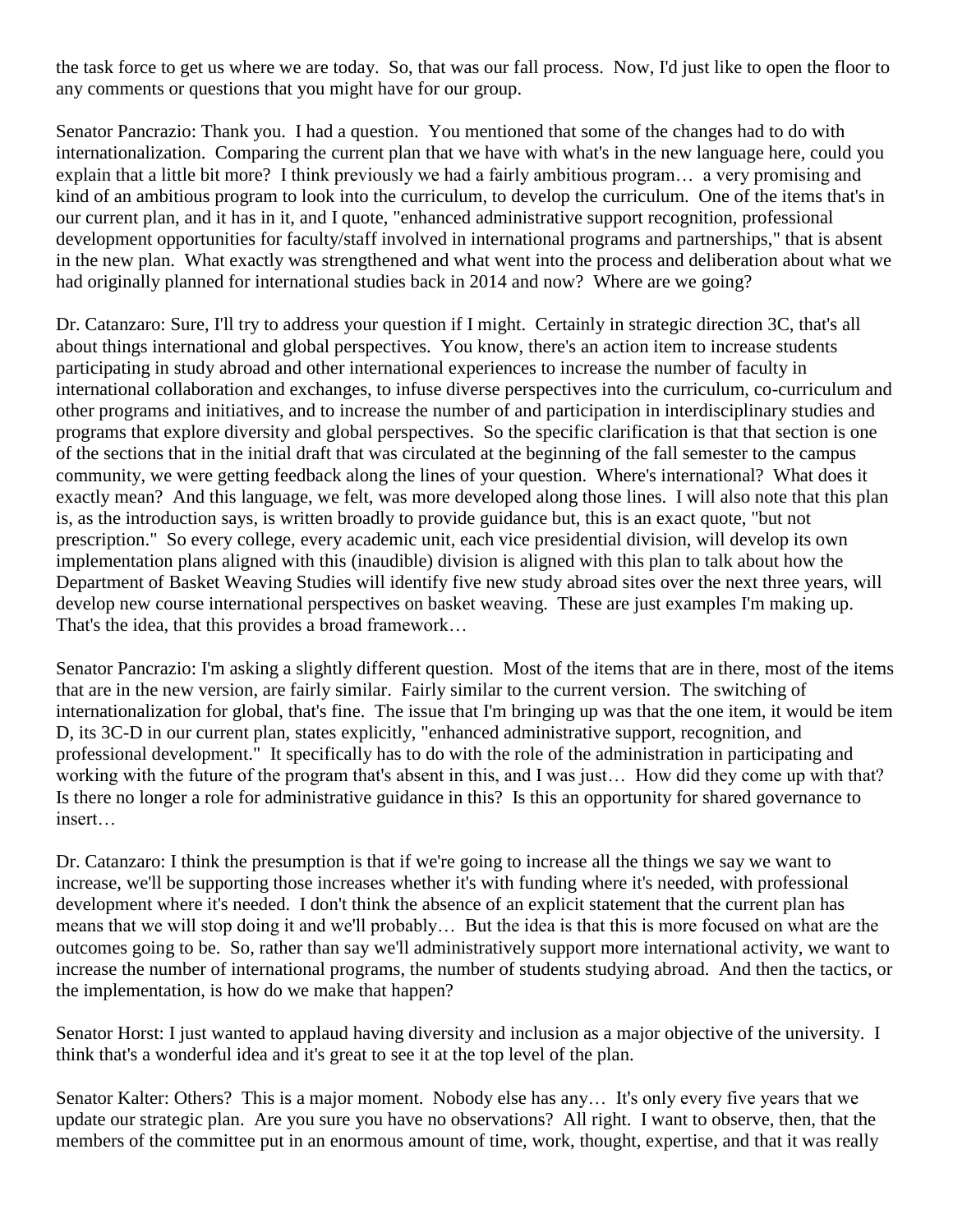the task force to get us where we are today. So, that was our fall process. Now, I'd just like to open the floor to any comments or questions that you might have for our group.

Senator Pancrazio: Thank you. I had a question. You mentioned that some of the changes had to do with internationalization. Comparing the current plan that we have with what's in the new language here, could you explain that a little bit more? I think previously we had a fairly ambitious program… a very promising and kind of an ambitious program to look into the curriculum, to develop the curriculum. One of the items that's in our current plan, and it has in it, and I quote, "enhanced administrative support recognition, professional development opportunities for faculty/staff involved in international programs and partnerships," that is absent in the new plan. What exactly was strengthened and what went into the process and deliberation about what we had originally planned for international studies back in 2014 and now? Where are we going?

Dr. Catanzaro: Sure, I'll try to address your question if I might. Certainly in strategic direction 3C, that's all about things international and global perspectives. You know, there's an action item to increase students participating in study abroad and other international experiences to increase the number of faculty in international collaboration and exchanges, to infuse diverse perspectives into the curriculum, co-curriculum and other programs and initiatives, and to increase the number of and participation in interdisciplinary studies and programs that explore diversity and global perspectives. So the specific clarification is that that section is one of the sections that in the initial draft that was circulated at the beginning of the fall semester to the campus community, we were getting feedback along the lines of your question. Where's international? What does it exactly mean? And this language, we felt, was more developed along those lines. I will also note that this plan is, as the introduction says, is written broadly to provide guidance but, this is an exact quote, "but not prescription." So every college, every academic unit, each vice presidential division, will develop its own implementation plans aligned with this (inaudible) division is aligned with this plan to talk about how the Department of Basket Weaving Studies will identify five new study abroad sites over the next three years, will develop new course international perspectives on basket weaving. These are just examples I'm making up. That's the idea, that this provides a broad framework…

Senator Pancrazio: I'm asking a slightly different question. Most of the items that are in there, most of the items that are in the new version, are fairly similar. Fairly similar to the current version. The switching of internationalization for global, that's fine. The issue that I'm bringing up was that the one item, it would be item D, its 3C-D in our current plan, states explicitly, "enhanced administrative support, recognition, and professional development." It specifically has to do with the role of the administration in participating and working with the future of the program that's absent in this, and I was just… How did they come up with that? Is there no longer a role for administrative guidance in this? Is this an opportunity for shared governance to insert…

Dr. Catanzaro: I think the presumption is that if we're going to increase all the things we say we want to increase, we'll be supporting those increases whether it's with funding where it's needed, with professional development where it's needed. I don't think the absence of an explicit statement that the current plan has means that we will stop doing it and we'll probably… But the idea is that this is more focused on what are the outcomes going to be. So, rather than say we'll administratively support more international activity, we want to increase the number of international programs, the number of students studying abroad. And then the tactics, or the implementation, is how do we make that happen?

Senator Horst: I just wanted to applaud having diversity and inclusion as a major objective of the university. I think that's a wonderful idea and it's great to see it at the top level of the plan.

Senator Kalter: Others? This is a major moment. Nobody else has any… It's only every five years that we update our strategic plan. Are you sure you have no observations? All right. I want to observe, then, that the members of the committee put in an enormous amount of time, work, thought, expertise, and that it was really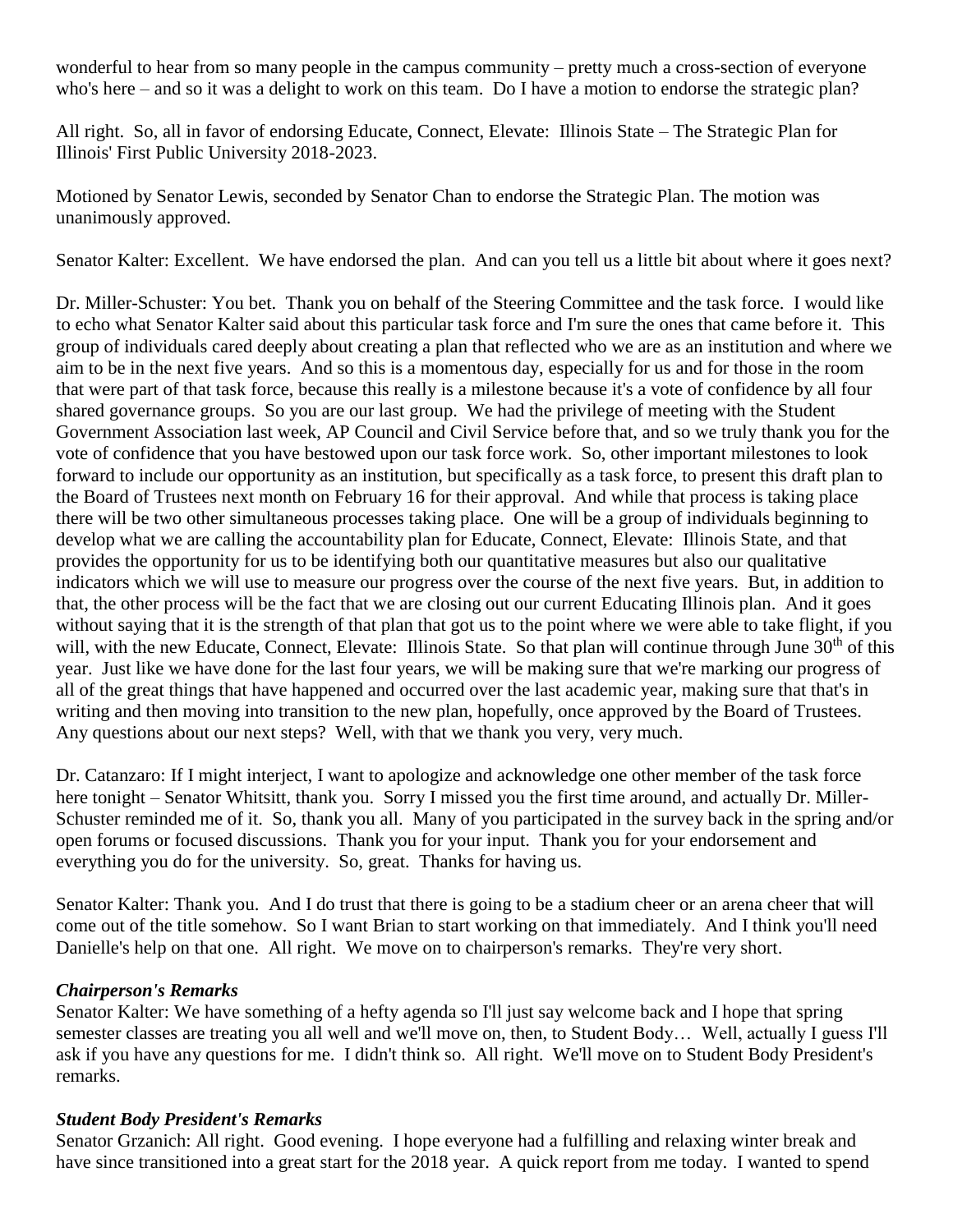wonderful to hear from so many people in the campus community – pretty much a cross-section of everyone who's here – and so it was a delight to work on this team. Do I have a motion to endorse the strategic plan?

All right. So, all in favor of endorsing Educate, Connect, Elevate: Illinois State – The Strategic Plan for Illinois' First Public University 2018-2023.

Motioned by Senator Lewis, seconded by Senator Chan to endorse the Strategic Plan. The motion was unanimously approved.

Senator Kalter: Excellent. We have endorsed the plan. And can you tell us a little bit about where it goes next?

Dr. Miller-Schuster: You bet. Thank you on behalf of the Steering Committee and the task force. I would like to echo what Senator Kalter said about this particular task force and I'm sure the ones that came before it. This group of individuals cared deeply about creating a plan that reflected who we are as an institution and where we aim to be in the next five years. And so this is a momentous day, especially for us and for those in the room that were part of that task force, because this really is a milestone because it's a vote of confidence by all four shared governance groups. So you are our last group. We had the privilege of meeting with the Student Government Association last week, AP Council and Civil Service before that, and so we truly thank you for the vote of confidence that you have bestowed upon our task force work. So, other important milestones to look forward to include our opportunity as an institution, but specifically as a task force, to present this draft plan to the Board of Trustees next month on February 16 for their approval. And while that process is taking place there will be two other simultaneous processes taking place. One will be a group of individuals beginning to develop what we are calling the accountability plan for Educate, Connect, Elevate: Illinois State, and that provides the opportunity for us to be identifying both our quantitative measures but also our qualitative indicators which we will use to measure our progress over the course of the next five years. But, in addition to that, the other process will be the fact that we are closing out our current Educating Illinois plan. And it goes without saying that it is the strength of that plan that got us to the point where we were able to take flight, if you will, with the new Educate, Connect, Elevate: Illinois State. So that plan will continue through June 30<sup>th</sup> of this year. Just like we have done for the last four years, we will be making sure that we're marking our progress of all of the great things that have happened and occurred over the last academic year, making sure that that's in writing and then moving into transition to the new plan, hopefully, once approved by the Board of Trustees. Any questions about our next steps? Well, with that we thank you very, very much.

Dr. Catanzaro: If I might interject, I want to apologize and acknowledge one other member of the task force here tonight – Senator Whitsitt, thank you. Sorry I missed you the first time around, and actually Dr. Miller-Schuster reminded me of it. So, thank you all. Many of you participated in the survey back in the spring and/or open forums or focused discussions. Thank you for your input. Thank you for your endorsement and everything you do for the university. So, great. Thanks for having us.

Senator Kalter: Thank you. And I do trust that there is going to be a stadium cheer or an arena cheer that will come out of the title somehow. So I want Brian to start working on that immediately. And I think you'll need Danielle's help on that one. All right. We move on to chairperson's remarks. They're very short.

#### *Chairperson's Remarks*

Senator Kalter: We have something of a hefty agenda so I'll just say welcome back and I hope that spring semester classes are treating you all well and we'll move on, then, to Student Body… Well, actually I guess I'll ask if you have any questions for me. I didn't think so. All right. We'll move on to Student Body President's remarks.

#### *Student Body President's Remarks*

Senator Grzanich: All right. Good evening. I hope everyone had a fulfilling and relaxing winter break and have since transitioned into a great start for the 2018 year. A quick report from me today. I wanted to spend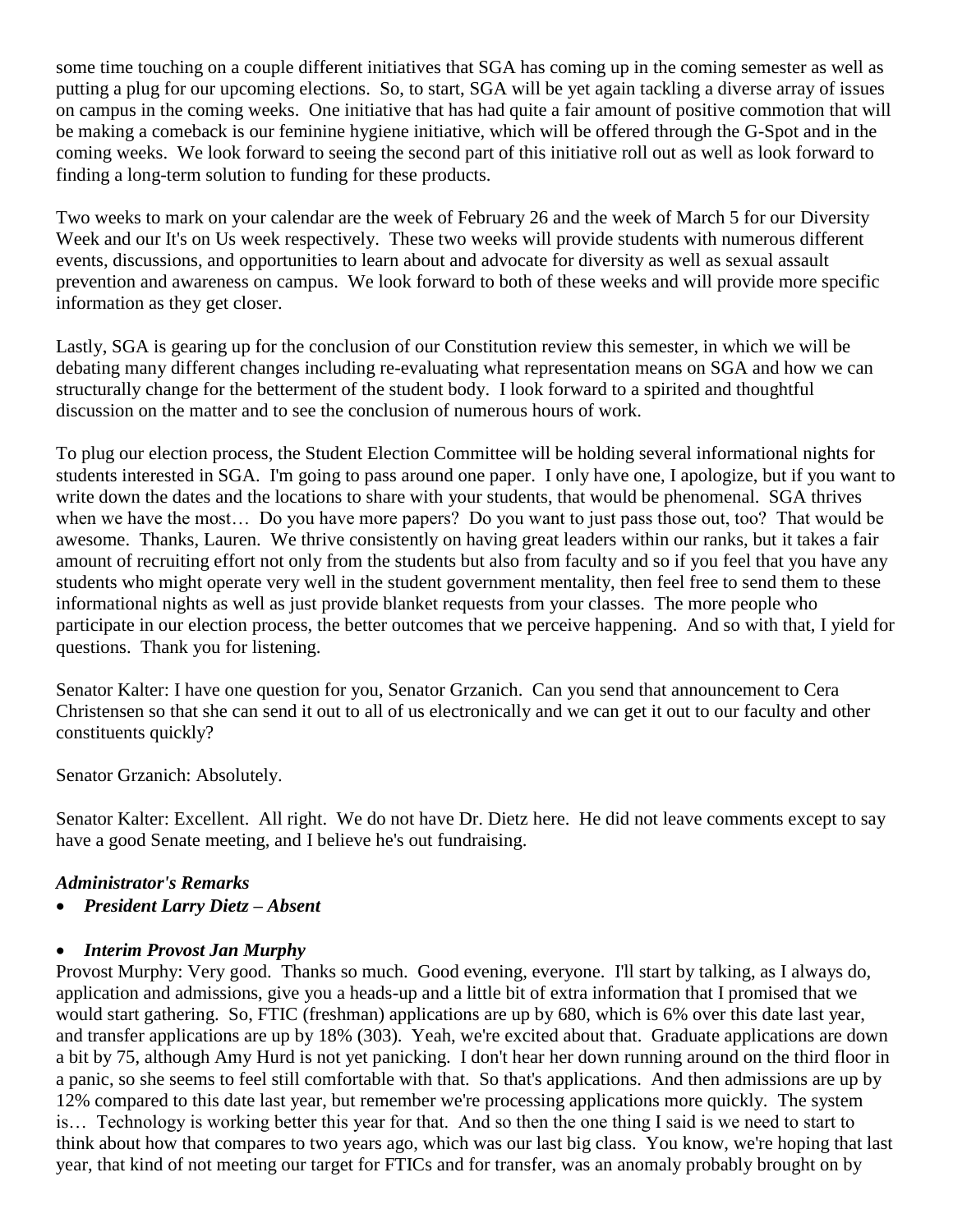some time touching on a couple different initiatives that SGA has coming up in the coming semester as well as putting a plug for our upcoming elections. So, to start, SGA will be yet again tackling a diverse array of issues on campus in the coming weeks. One initiative that has had quite a fair amount of positive commotion that will be making a comeback is our feminine hygiene initiative, which will be offered through the G-Spot and in the coming weeks. We look forward to seeing the second part of this initiative roll out as well as look forward to finding a long-term solution to funding for these products.

Two weeks to mark on your calendar are the week of February 26 and the week of March 5 for our Diversity Week and our It's on Us week respectively. These two weeks will provide students with numerous different events, discussions, and opportunities to learn about and advocate for diversity as well as sexual assault prevention and awareness on campus. We look forward to both of these weeks and will provide more specific information as they get closer.

Lastly, SGA is gearing up for the conclusion of our Constitution review this semester, in which we will be debating many different changes including re-evaluating what representation means on SGA and how we can structurally change for the betterment of the student body. I look forward to a spirited and thoughtful discussion on the matter and to see the conclusion of numerous hours of work.

To plug our election process, the Student Election Committee will be holding several informational nights for students interested in SGA. I'm going to pass around one paper. I only have one, I apologize, but if you want to write down the dates and the locations to share with your students, that would be phenomenal. SGA thrives when we have the most… Do you have more papers? Do you want to just pass those out, too? That would be awesome. Thanks, Lauren. We thrive consistently on having great leaders within our ranks, but it takes a fair amount of recruiting effort not only from the students but also from faculty and so if you feel that you have any students who might operate very well in the student government mentality, then feel free to send them to these informational nights as well as just provide blanket requests from your classes. The more people who participate in our election process, the better outcomes that we perceive happening. And so with that, I yield for questions. Thank you for listening.

Senator Kalter: I have one question for you, Senator Grzanich. Can you send that announcement to Cera Christensen so that she can send it out to all of us electronically and we can get it out to our faculty and other constituents quickly?

Senator Grzanich: Absolutely.

Senator Kalter: Excellent. All right. We do not have Dr. Dietz here. He did not leave comments except to say have a good Senate meeting, and I believe he's out fundraising.

#### *Administrator's Remarks*

• *President Larry Dietz – Absent*

#### • *Interim Provost Jan Murphy*

Provost Murphy: Very good. Thanks so much. Good evening, everyone. I'll start by talking, as I always do, application and admissions, give you a heads-up and a little bit of extra information that I promised that we would start gathering. So, FTIC (freshman) applications are up by 680, which is 6% over this date last year, and transfer applications are up by 18% (303). Yeah, we're excited about that. Graduate applications are down a bit by 75, although Amy Hurd is not yet panicking. I don't hear her down running around on the third floor in a panic, so she seems to feel still comfortable with that. So that's applications. And then admissions are up by 12% compared to this date last year, but remember we're processing applications more quickly. The system is… Technology is working better this year for that. And so then the one thing I said is we need to start to think about how that compares to two years ago, which was our last big class. You know, we're hoping that last year, that kind of not meeting our target for FTICs and for transfer, was an anomaly probably brought on by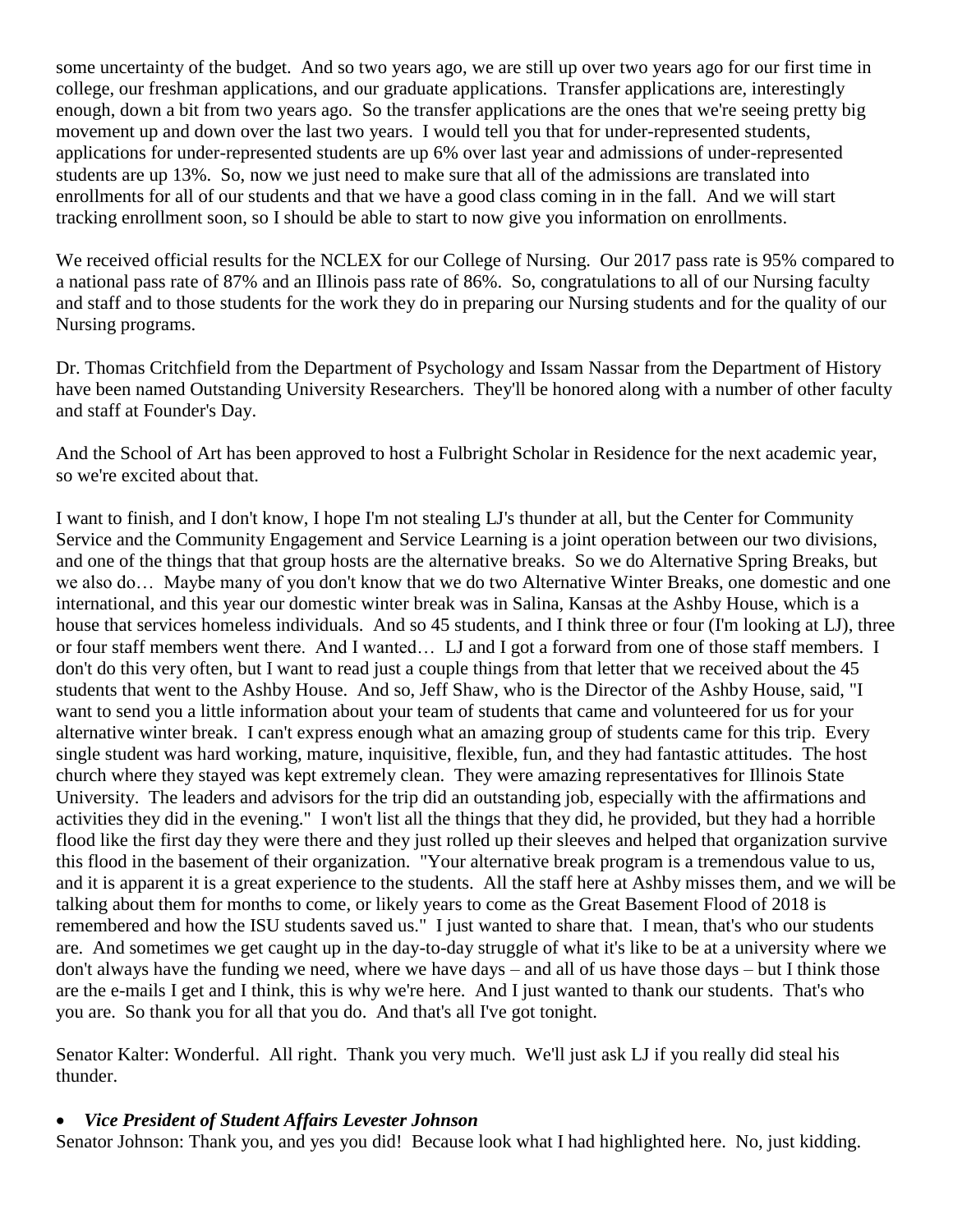some uncertainty of the budget. And so two years ago, we are still up over two years ago for our first time in college, our freshman applications, and our graduate applications. Transfer applications are, interestingly enough, down a bit from two years ago. So the transfer applications are the ones that we're seeing pretty big movement up and down over the last two years. I would tell you that for under-represented students, applications for under-represented students are up 6% over last year and admissions of under-represented students are up 13%. So, now we just need to make sure that all of the admissions are translated into enrollments for all of our students and that we have a good class coming in in the fall. And we will start tracking enrollment soon, so I should be able to start to now give you information on enrollments.

We received official results for the NCLEX for our College of Nursing. Our 2017 pass rate is 95% compared to a national pass rate of 87% and an Illinois pass rate of 86%. So, congratulations to all of our Nursing faculty and staff and to those students for the work they do in preparing our Nursing students and for the quality of our Nursing programs.

Dr. Thomas Critchfield from the Department of Psychology and Issam Nassar from the Department of History have been named Outstanding University Researchers. They'll be honored along with a number of other faculty and staff at Founder's Day.

And the School of Art has been approved to host a Fulbright Scholar in Residence for the next academic year, so we're excited about that.

I want to finish, and I don't know, I hope I'm not stealing LJ's thunder at all, but the Center for Community Service and the Community Engagement and Service Learning is a joint operation between our two divisions, and one of the things that that group hosts are the alternative breaks. So we do Alternative Spring Breaks, but we also do… Maybe many of you don't know that we do two Alternative Winter Breaks, one domestic and one international, and this year our domestic winter break was in Salina, Kansas at the Ashby House, which is a house that services homeless individuals. And so 45 students, and I think three or four (I'm looking at LJ), three or four staff members went there. And I wanted… LJ and I got a forward from one of those staff members. I don't do this very often, but I want to read just a couple things from that letter that we received about the 45 students that went to the Ashby House. And so, Jeff Shaw, who is the Director of the Ashby House, said, "I want to send you a little information about your team of students that came and volunteered for us for your alternative winter break. I can't express enough what an amazing group of students came for this trip. Every single student was hard working, mature, inquisitive, flexible, fun, and they had fantastic attitudes. The host church where they stayed was kept extremely clean. They were amazing representatives for Illinois State University. The leaders and advisors for the trip did an outstanding job, especially with the affirmations and activities they did in the evening." I won't list all the things that they did, he provided, but they had a horrible flood like the first day they were there and they just rolled up their sleeves and helped that organization survive this flood in the basement of their organization. "Your alternative break program is a tremendous value to us, and it is apparent it is a great experience to the students. All the staff here at Ashby misses them, and we will be talking about them for months to come, or likely years to come as the Great Basement Flood of 2018 is remembered and how the ISU students saved us." I just wanted to share that. I mean, that's who our students are. And sometimes we get caught up in the day-to-day struggle of what it's like to be at a university where we don't always have the funding we need, where we have days – and all of us have those days – but I think those are the e-mails I get and I think, this is why we're here. And I just wanted to thank our students. That's who you are. So thank you for all that you do. And that's all I've got tonight.

Senator Kalter: Wonderful. All right. Thank you very much. We'll just ask LJ if you really did steal his thunder.

#### • *Vice President of Student Affairs Levester Johnson*

Senator Johnson: Thank you, and yes you did! Because look what I had highlighted here. No, just kidding.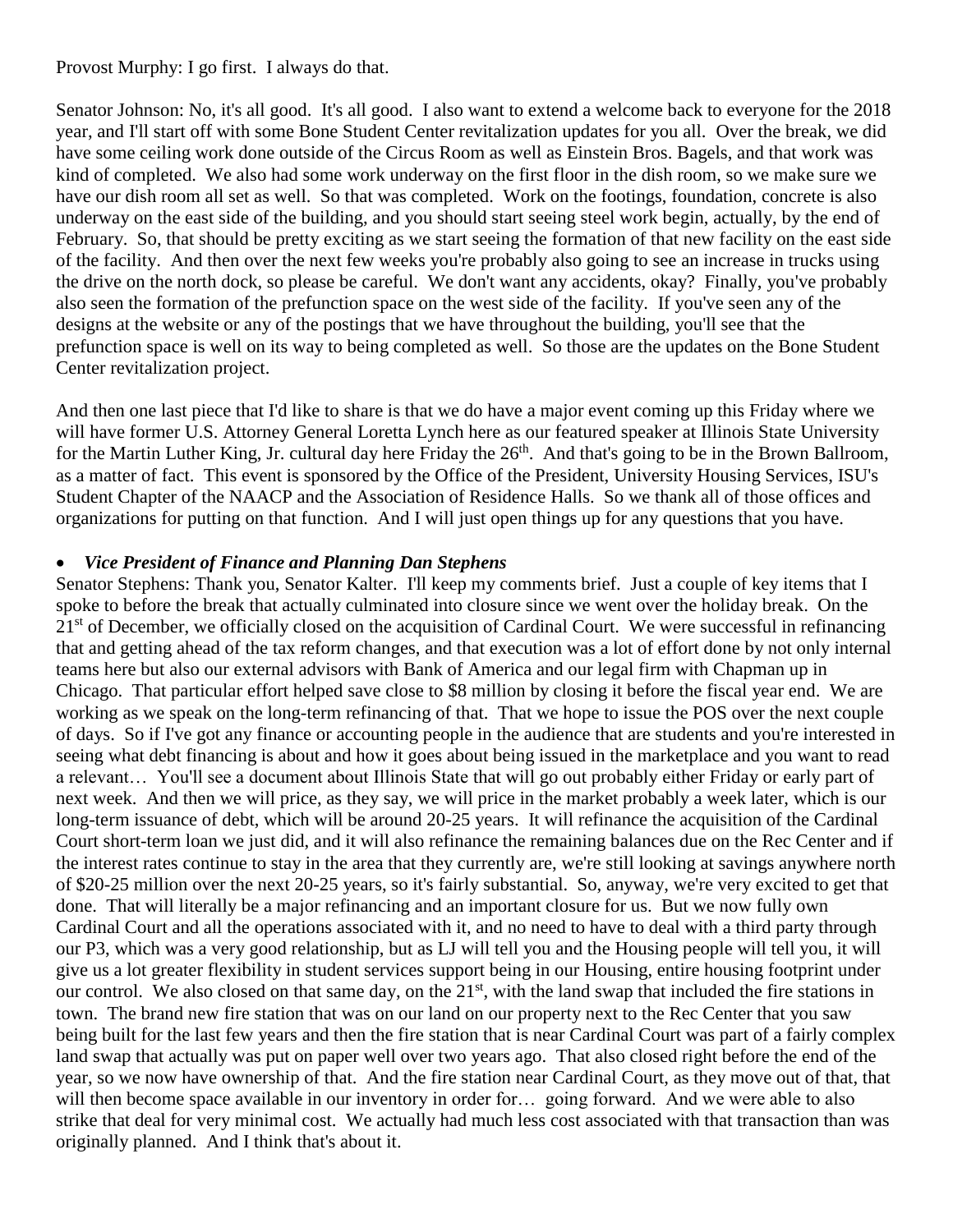#### Provost Murphy: I go first. I always do that.

Senator Johnson: No, it's all good. It's all good. I also want to extend a welcome back to everyone for the 2018 year, and I'll start off with some Bone Student Center revitalization updates for you all. Over the break, we did have some ceiling work done outside of the Circus Room as well as Einstein Bros. Bagels, and that work was kind of completed. We also had some work underway on the first floor in the dish room, so we make sure we have our dish room all set as well. So that was completed. Work on the footings, foundation, concrete is also underway on the east side of the building, and you should start seeing steel work begin, actually, by the end of February. So, that should be pretty exciting as we start seeing the formation of that new facility on the east side of the facility. And then over the next few weeks you're probably also going to see an increase in trucks using the drive on the north dock, so please be careful. We don't want any accidents, okay? Finally, you've probably also seen the formation of the prefunction space on the west side of the facility. If you've seen any of the designs at the website or any of the postings that we have throughout the building, you'll see that the prefunction space is well on its way to being completed as well. So those are the updates on the Bone Student Center revitalization project.

And then one last piece that I'd like to share is that we do have a major event coming up this Friday where we will have former U.S. Attorney General Loretta Lynch here as our featured speaker at Illinois State University for the Martin Luther King, Jr. cultural day here Friday the  $26<sup>th</sup>$ . And that's going to be in the Brown Ballroom, as a matter of fact. This event is sponsored by the Office of the President, University Housing Services, ISU's Student Chapter of the NAACP and the Association of Residence Halls. So we thank all of those offices and organizations for putting on that function. And I will just open things up for any questions that you have.

#### • *Vice President of Finance and Planning Dan Stephens*

Senator Stephens: Thank you, Senator Kalter. I'll keep my comments brief. Just a couple of key items that I spoke to before the break that actually culminated into closure since we went over the holiday break. On the 21<sup>st</sup> of December, we officially closed on the acquisition of Cardinal Court. We were successful in refinancing that and getting ahead of the tax reform changes, and that execution was a lot of effort done by not only internal teams here but also our external advisors with Bank of America and our legal firm with Chapman up in Chicago. That particular effort helped save close to \$8 million by closing it before the fiscal year end. We are working as we speak on the long-term refinancing of that. That we hope to issue the POS over the next couple of days. So if I've got any finance or accounting people in the audience that are students and you're interested in seeing what debt financing is about and how it goes about being issued in the marketplace and you want to read a relevant… You'll see a document about Illinois State that will go out probably either Friday or early part of next week. And then we will price, as they say, we will price in the market probably a week later, which is our long-term issuance of debt, which will be around 20-25 years. It will refinance the acquisition of the Cardinal Court short-term loan we just did, and it will also refinance the remaining balances due on the Rec Center and if the interest rates continue to stay in the area that they currently are, we're still looking at savings anywhere north of \$20-25 million over the next 20-25 years, so it's fairly substantial. So, anyway, we're very excited to get that done. That will literally be a major refinancing and an important closure for us. But we now fully own Cardinal Court and all the operations associated with it, and no need to have to deal with a third party through our P3, which was a very good relationship, but as LJ will tell you and the Housing people will tell you, it will give us a lot greater flexibility in student services support being in our Housing, entire housing footprint under our control. We also closed on that same day, on the 21<sup>st</sup>, with the land swap that included the fire stations in town. The brand new fire station that was on our land on our property next to the Rec Center that you saw being built for the last few years and then the fire station that is near Cardinal Court was part of a fairly complex land swap that actually was put on paper well over two years ago. That also closed right before the end of the year, so we now have ownership of that. And the fire station near Cardinal Court, as they move out of that, that will then become space available in our inventory in order for... going forward. And we were able to also strike that deal for very minimal cost. We actually had much less cost associated with that transaction than was originally planned. And I think that's about it.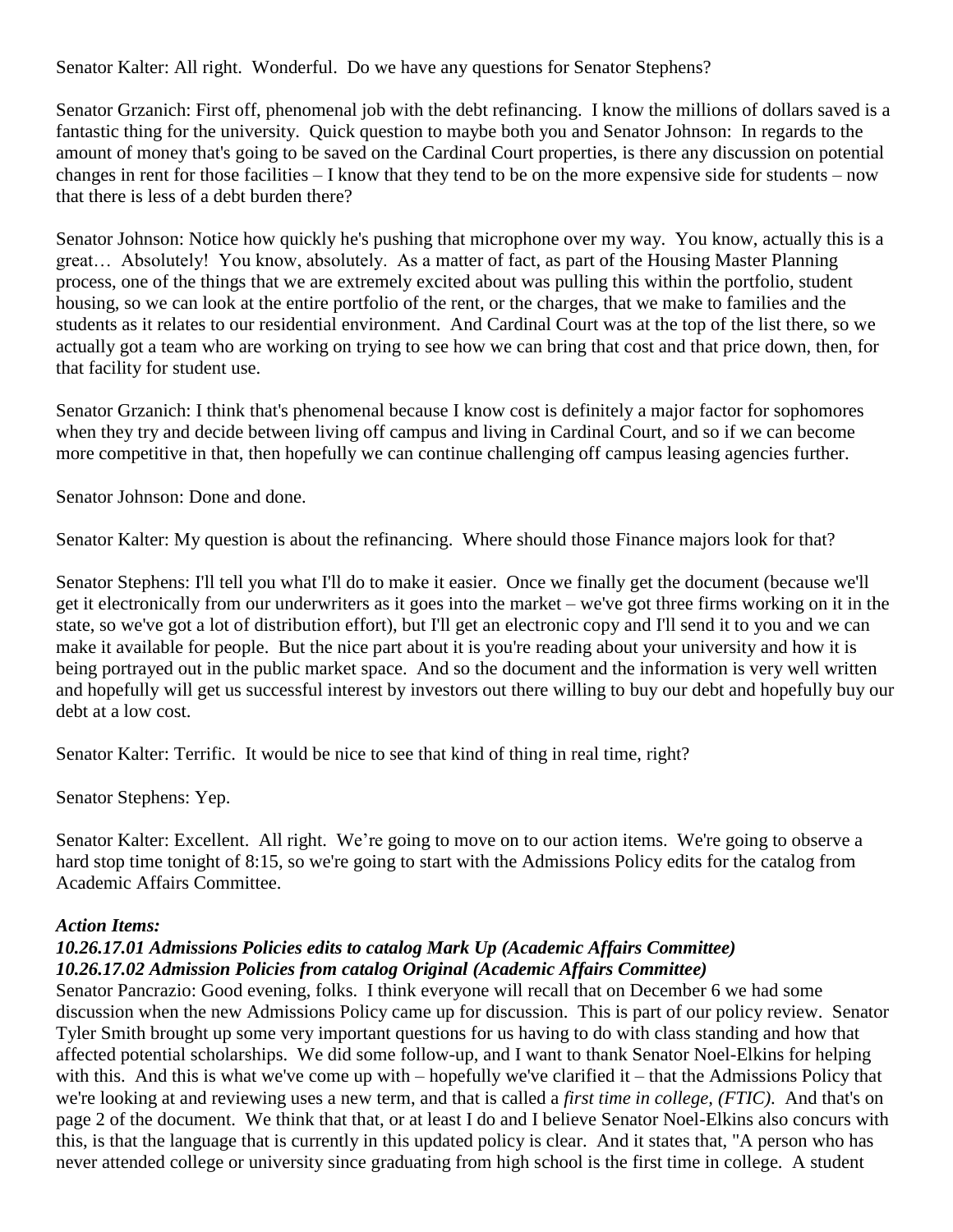Senator Kalter: All right. Wonderful. Do we have any questions for Senator Stephens?

Senator Grzanich: First off, phenomenal job with the debt refinancing. I know the millions of dollars saved is a fantastic thing for the university. Quick question to maybe both you and Senator Johnson: In regards to the amount of money that's going to be saved on the Cardinal Court properties, is there any discussion on potential changes in rent for those facilities – I know that they tend to be on the more expensive side for students – now that there is less of a debt burden there?

Senator Johnson: Notice how quickly he's pushing that microphone over my way. You know, actually this is a great… Absolutely! You know, absolutely. As a matter of fact, as part of the Housing Master Planning process, one of the things that we are extremely excited about was pulling this within the portfolio, student housing, so we can look at the entire portfolio of the rent, or the charges, that we make to families and the students as it relates to our residential environment. And Cardinal Court was at the top of the list there, so we actually got a team who are working on trying to see how we can bring that cost and that price down, then, for that facility for student use.

Senator Grzanich: I think that's phenomenal because I know cost is definitely a major factor for sophomores when they try and decide between living off campus and living in Cardinal Court, and so if we can become more competitive in that, then hopefully we can continue challenging off campus leasing agencies further.

Senator Johnson: Done and done.

Senator Kalter: My question is about the refinancing. Where should those Finance majors look for that?

Senator Stephens: I'll tell you what I'll do to make it easier. Once we finally get the document (because we'll get it electronically from our underwriters as it goes into the market – we've got three firms working on it in the state, so we've got a lot of distribution effort), but I'll get an electronic copy and I'll send it to you and we can make it available for people. But the nice part about it is you're reading about your university and how it is being portrayed out in the public market space. And so the document and the information is very well written and hopefully will get us successful interest by investors out there willing to buy our debt and hopefully buy our debt at a low cost.

Senator Kalter: Terrific. It would be nice to see that kind of thing in real time, right?

Senator Stephens: Yep.

Senator Kalter: Excellent. All right. We're going to move on to our action items. We're going to observe a hard stop time tonight of 8:15, so we're going to start with the Admissions Policy edits for the catalog from Academic Affairs Committee.

#### *Action Items:*

## *10.26.17.01 Admissions Policies edits to catalog Mark Up (Academic Affairs Committee) 10.26.17.02 Admission Policies from catalog Original (Academic Affairs Committee)*

Senator Pancrazio: Good evening, folks. I think everyone will recall that on December 6 we had some discussion when the new Admissions Policy came up for discussion. This is part of our policy review. Senator Tyler Smith brought up some very important questions for us having to do with class standing and how that affected potential scholarships. We did some follow-up, and I want to thank Senator Noel-Elkins for helping with this. And this is what we've come up with – hopefully we've clarified it – that the Admissions Policy that we're looking at and reviewing uses a new term, and that is called a *first time in college, (FTIC)*. And that's on page 2 of the document. We think that that, or at least I do and I believe Senator Noel-Elkins also concurs with this, is that the language that is currently in this updated policy is clear. And it states that, "A person who has never attended college or university since graduating from high school is the first time in college. A student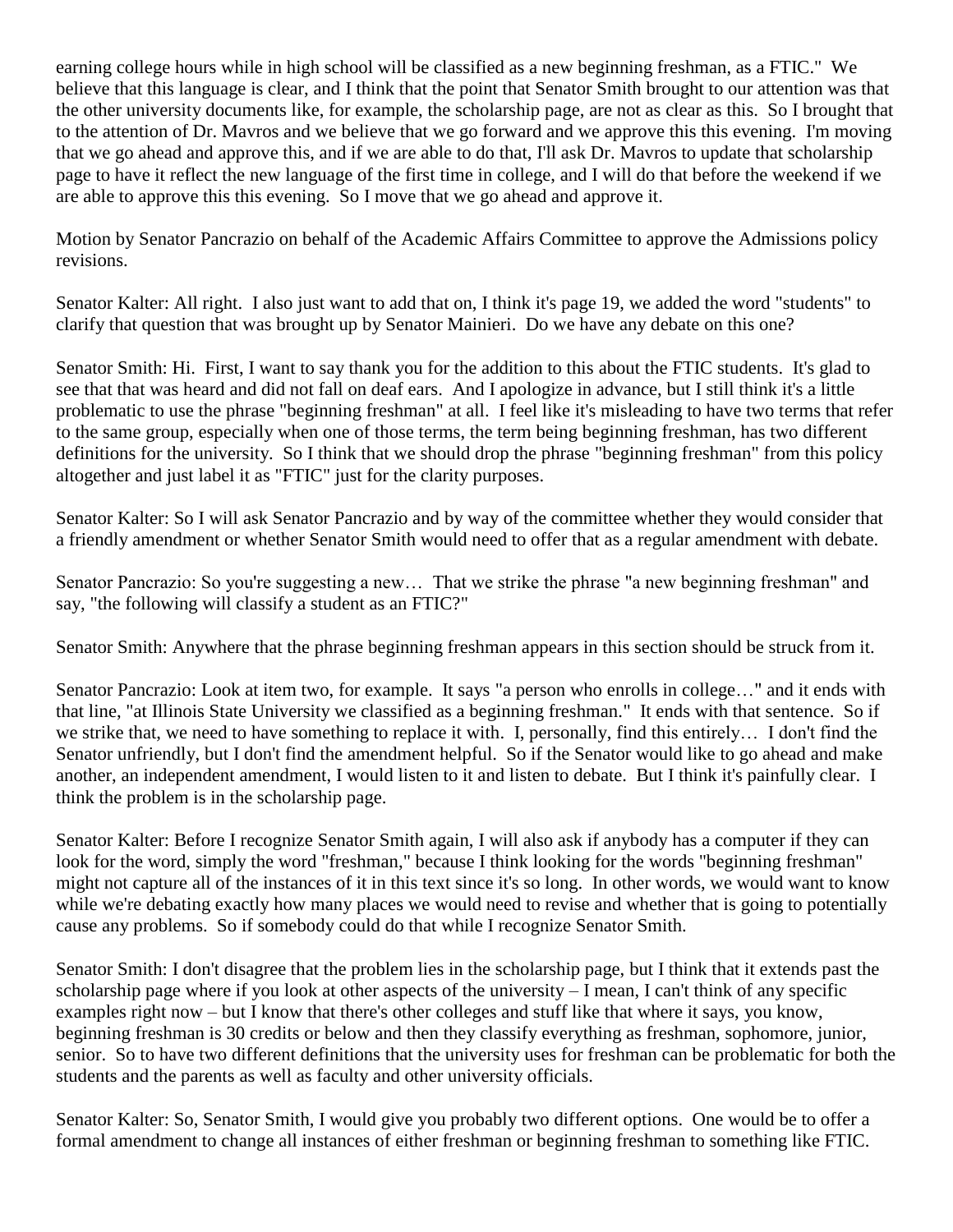earning college hours while in high school will be classified as a new beginning freshman, as a FTIC." We believe that this language is clear, and I think that the point that Senator Smith brought to our attention was that the other university documents like, for example, the scholarship page, are not as clear as this. So I brought that to the attention of Dr. Mavros and we believe that we go forward and we approve this this evening. I'm moving that we go ahead and approve this, and if we are able to do that, I'll ask Dr. Mavros to update that scholarship page to have it reflect the new language of the first time in college, and I will do that before the weekend if we are able to approve this this evening. So I move that we go ahead and approve it.

Motion by Senator Pancrazio on behalf of the Academic Affairs Committee to approve the Admissions policy revisions.

Senator Kalter: All right. I also just want to add that on, I think it's page 19, we added the word "students" to clarify that question that was brought up by Senator Mainieri. Do we have any debate on this one?

Senator Smith: Hi. First, I want to say thank you for the addition to this about the FTIC students. It's glad to see that that was heard and did not fall on deaf ears. And I apologize in advance, but I still think it's a little problematic to use the phrase "beginning freshman" at all. I feel like it's misleading to have two terms that refer to the same group, especially when one of those terms, the term being beginning freshman, has two different definitions for the university. So I think that we should drop the phrase "beginning freshman" from this policy altogether and just label it as "FTIC" just for the clarity purposes.

Senator Kalter: So I will ask Senator Pancrazio and by way of the committee whether they would consider that a friendly amendment or whether Senator Smith would need to offer that as a regular amendment with debate.

Senator Pancrazio: So you're suggesting a new... That we strike the phrase "a new beginning freshman" and say, "the following will classify a student as an FTIC?"

Senator Smith: Anywhere that the phrase beginning freshman appears in this section should be struck from it.

Senator Pancrazio: Look at item two, for example. It says "a person who enrolls in college…" and it ends with that line, "at Illinois State University we classified as a beginning freshman." It ends with that sentence. So if we strike that, we need to have something to replace it with. I, personally, find this entirely… I don't find the Senator unfriendly, but I don't find the amendment helpful. So if the Senator would like to go ahead and make another, an independent amendment, I would listen to it and listen to debate. But I think it's painfully clear. I think the problem is in the scholarship page.

Senator Kalter: Before I recognize Senator Smith again, I will also ask if anybody has a computer if they can look for the word, simply the word "freshman," because I think looking for the words "beginning freshman" might not capture all of the instances of it in this text since it's so long. In other words, we would want to know while we're debating exactly how many places we would need to revise and whether that is going to potentially cause any problems. So if somebody could do that while I recognize Senator Smith.

Senator Smith: I don't disagree that the problem lies in the scholarship page, but I think that it extends past the scholarship page where if you look at other aspects of the university – I mean, I can't think of any specific examples right now – but I know that there's other colleges and stuff like that where it says, you know, beginning freshman is 30 credits or below and then they classify everything as freshman, sophomore, junior, senior. So to have two different definitions that the university uses for freshman can be problematic for both the students and the parents as well as faculty and other university officials.

Senator Kalter: So, Senator Smith, I would give you probably two different options. One would be to offer a formal amendment to change all instances of either freshman or beginning freshman to something like FTIC.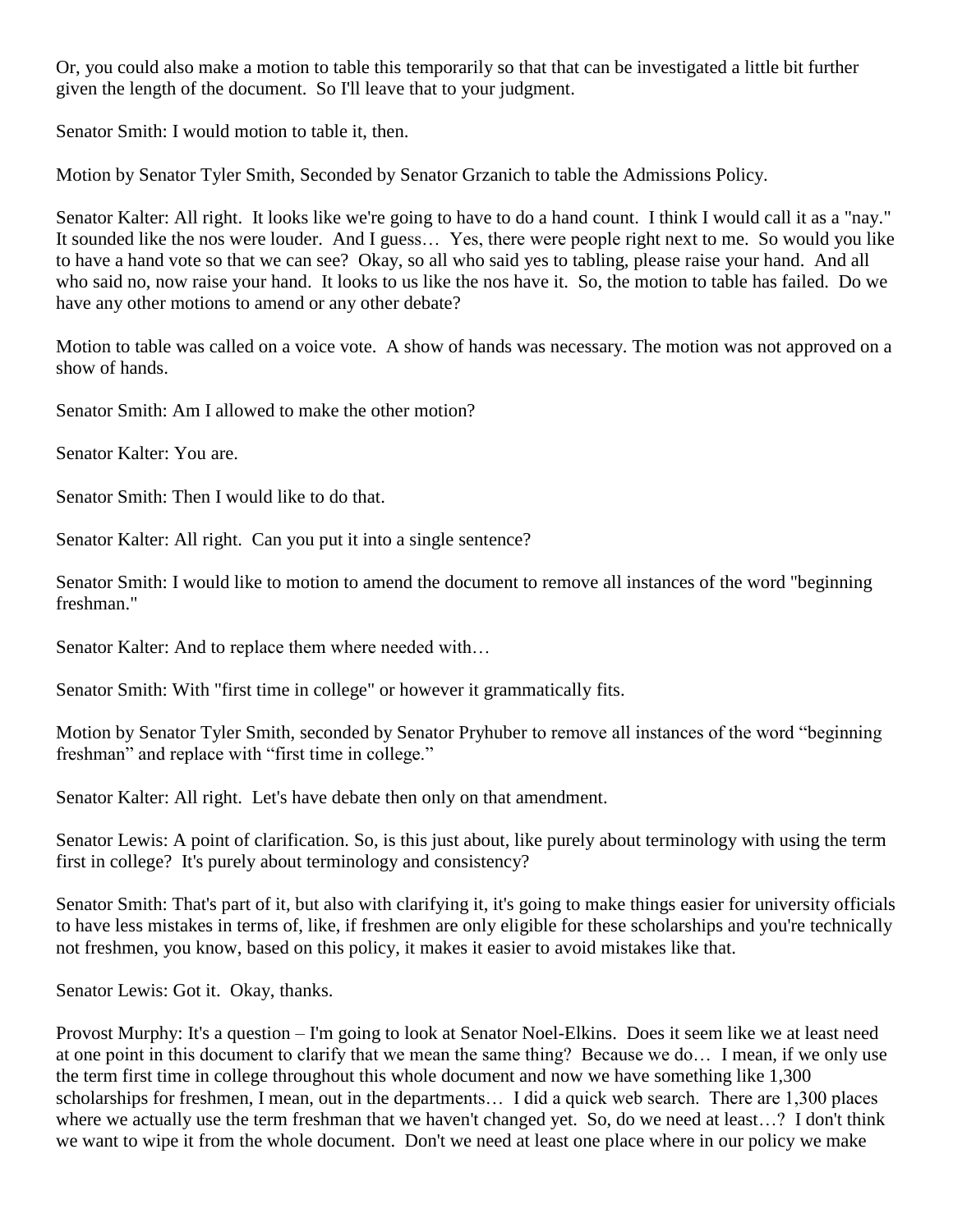Or, you could also make a motion to table this temporarily so that that can be investigated a little bit further given the length of the document. So I'll leave that to your judgment.

Senator Smith: I would motion to table it, then.

Motion by Senator Tyler Smith, Seconded by Senator Grzanich to table the Admissions Policy.

Senator Kalter: All right. It looks like we're going to have to do a hand count. I think I would call it as a "nay." It sounded like the nos were louder. And I guess… Yes, there were people right next to me. So would you like to have a hand vote so that we can see? Okay, so all who said yes to tabling, please raise your hand. And all who said no, now raise your hand. It looks to us like the nos have it. So, the motion to table has failed. Do we have any other motions to amend or any other debate?

Motion to table was called on a voice vote. A show of hands was necessary. The motion was not approved on a show of hands.

Senator Smith: Am I allowed to make the other motion?

Senator Kalter: You are.

Senator Smith: Then I would like to do that.

Senator Kalter: All right. Can you put it into a single sentence?

Senator Smith: I would like to motion to amend the document to remove all instances of the word "beginning freshman."

Senator Kalter: And to replace them where needed with…

Senator Smith: With "first time in college" or however it grammatically fits.

Motion by Senator Tyler Smith, seconded by Senator Pryhuber to remove all instances of the word "beginning freshman" and replace with "first time in college."

Senator Kalter: All right. Let's have debate then only on that amendment.

Senator Lewis: A point of clarification. So, is this just about, like purely about terminology with using the term first in college? It's purely about terminology and consistency?

Senator Smith: That's part of it, but also with clarifying it, it's going to make things easier for university officials to have less mistakes in terms of, like, if freshmen are only eligible for these scholarships and you're technically not freshmen, you know, based on this policy, it makes it easier to avoid mistakes like that.

Senator Lewis: Got it. Okay, thanks.

Provost Murphy: It's a question – I'm going to look at Senator Noel-Elkins. Does it seem like we at least need at one point in this document to clarify that we mean the same thing? Because we do… I mean, if we only use the term first time in college throughout this whole document and now we have something like 1,300 scholarships for freshmen, I mean, out in the departments… I did a quick web search. There are 1,300 places where we actually use the term freshman that we haven't changed yet. So, do we need at least...? I don't think we want to wipe it from the whole document. Don't we need at least one place where in our policy we make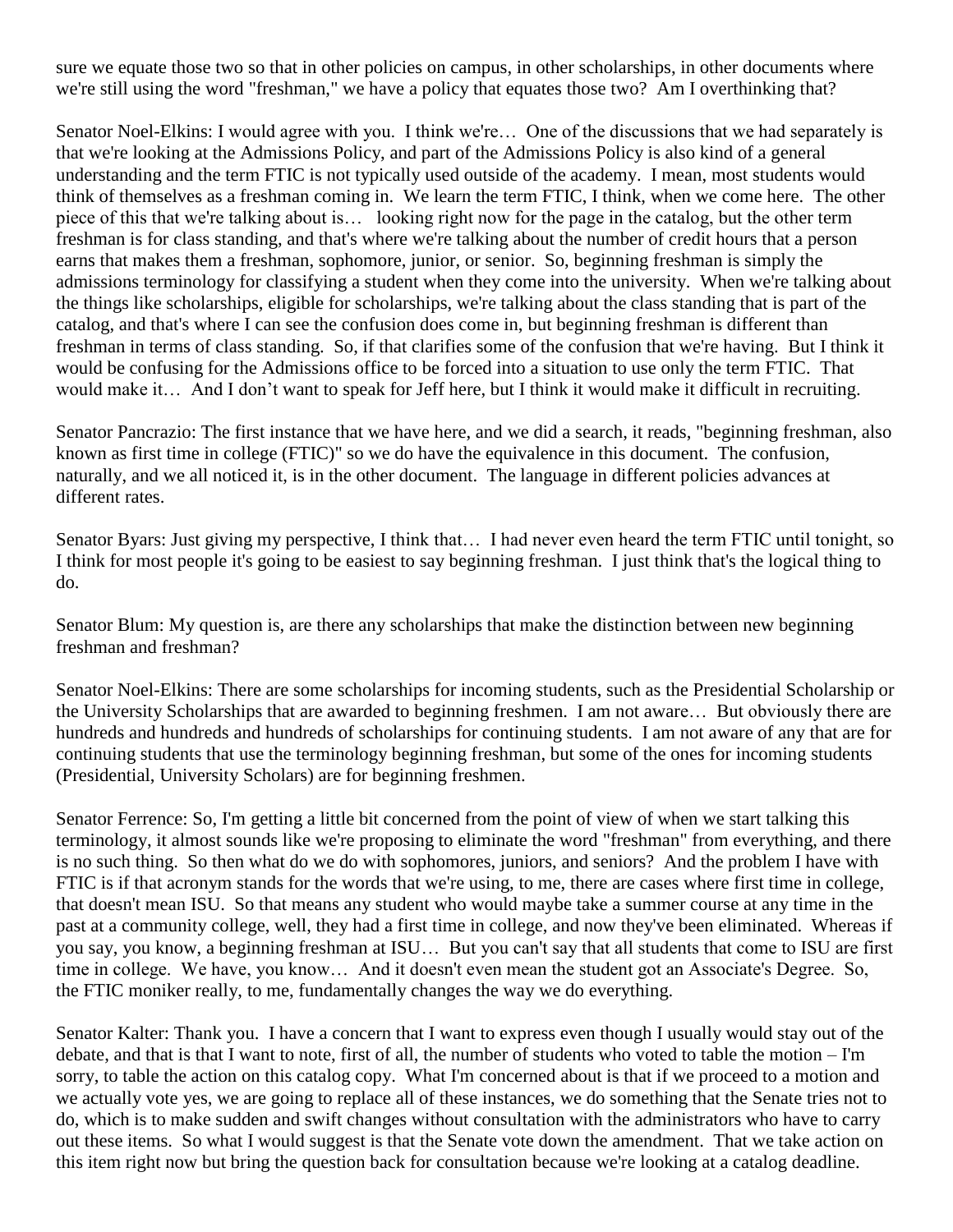sure we equate those two so that in other policies on campus, in other scholarships, in other documents where we're still using the word "freshman," we have a policy that equates those two? Am I overthinking that?

Senator Noel-Elkins: I would agree with you. I think we're… One of the discussions that we had separately is that we're looking at the Admissions Policy, and part of the Admissions Policy is also kind of a general understanding and the term FTIC is not typically used outside of the academy. I mean, most students would think of themselves as a freshman coming in. We learn the term FTIC, I think, when we come here. The other piece of this that we're talking about is… looking right now for the page in the catalog, but the other term freshman is for class standing, and that's where we're talking about the number of credit hours that a person earns that makes them a freshman, sophomore, junior, or senior. So, beginning freshman is simply the admissions terminology for classifying a student when they come into the university. When we're talking about the things like scholarships, eligible for scholarships, we're talking about the class standing that is part of the catalog, and that's where I can see the confusion does come in, but beginning freshman is different than freshman in terms of class standing. So, if that clarifies some of the confusion that we're having. But I think it would be confusing for the Admissions office to be forced into a situation to use only the term FTIC. That would make it… And I don't want to speak for Jeff here, but I think it would make it difficult in recruiting.

Senator Pancrazio: The first instance that we have here, and we did a search, it reads, "beginning freshman, also known as first time in college (FTIC)" so we do have the equivalence in this document. The confusion, naturally, and we all noticed it, is in the other document. The language in different policies advances at different rates.

Senator Byars: Just giving my perspective, I think that… I had never even heard the term FTIC until tonight, so I think for most people it's going to be easiest to say beginning freshman. I just think that's the logical thing to do.

Senator Blum: My question is, are there any scholarships that make the distinction between new beginning freshman and freshman?

Senator Noel-Elkins: There are some scholarships for incoming students, such as the Presidential Scholarship or the University Scholarships that are awarded to beginning freshmen. I am not aware… But obviously there are hundreds and hundreds and hundreds of scholarships for continuing students. I am not aware of any that are for continuing students that use the terminology beginning freshman, but some of the ones for incoming students (Presidential, University Scholars) are for beginning freshmen.

Senator Ferrence: So, I'm getting a little bit concerned from the point of view of when we start talking this terminology, it almost sounds like we're proposing to eliminate the word "freshman" from everything, and there is no such thing. So then what do we do with sophomores, juniors, and seniors? And the problem I have with FTIC is if that acronym stands for the words that we're using, to me, there are cases where first time in college, that doesn't mean ISU. So that means any student who would maybe take a summer course at any time in the past at a community college, well, they had a first time in college, and now they've been eliminated. Whereas if you say, you know, a beginning freshman at ISU… But you can't say that all students that come to ISU are first time in college. We have, you know… And it doesn't even mean the student got an Associate's Degree. So, the FTIC moniker really, to me, fundamentally changes the way we do everything.

Senator Kalter: Thank you. I have a concern that I want to express even though I usually would stay out of the debate, and that is that I want to note, first of all, the number of students who voted to table the motion – I'm sorry, to table the action on this catalog copy. What I'm concerned about is that if we proceed to a motion and we actually vote yes, we are going to replace all of these instances, we do something that the Senate tries not to do, which is to make sudden and swift changes without consultation with the administrators who have to carry out these items. So what I would suggest is that the Senate vote down the amendment. That we take action on this item right now but bring the question back for consultation because we're looking at a catalog deadline.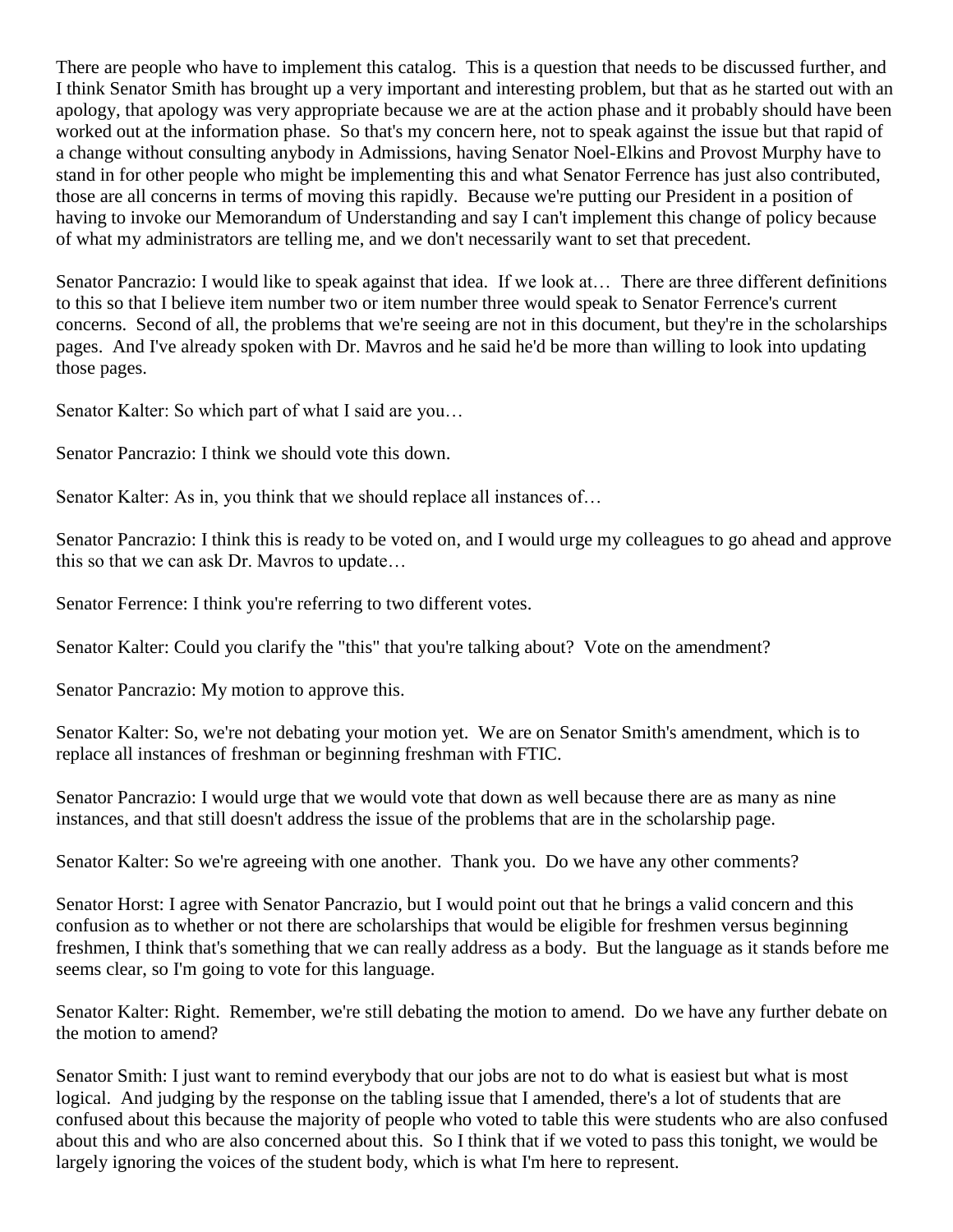There are people who have to implement this catalog. This is a question that needs to be discussed further, and I think Senator Smith has brought up a very important and interesting problem, but that as he started out with an apology, that apology was very appropriate because we are at the action phase and it probably should have been worked out at the information phase. So that's my concern here, not to speak against the issue but that rapid of a change without consulting anybody in Admissions, having Senator Noel-Elkins and Provost Murphy have to stand in for other people who might be implementing this and what Senator Ferrence has just also contributed, those are all concerns in terms of moving this rapidly. Because we're putting our President in a position of having to invoke our Memorandum of Understanding and say I can't implement this change of policy because of what my administrators are telling me, and we don't necessarily want to set that precedent.

Senator Pancrazio: I would like to speak against that idea. If we look at... There are three different definitions to this so that I believe item number two or item number three would speak to Senator Ferrence's current concerns. Second of all, the problems that we're seeing are not in this document, but they're in the scholarships pages. And I've already spoken with Dr. Mavros and he said he'd be more than willing to look into updating those pages.

Senator Kalter: So which part of what I said are you…

Senator Pancrazio: I think we should vote this down.

Senator Kalter: As in, you think that we should replace all instances of...

Senator Pancrazio: I think this is ready to be voted on, and I would urge my colleagues to go ahead and approve this so that we can ask Dr. Mavros to update…

Senator Ferrence: I think you're referring to two different votes.

Senator Kalter: Could you clarify the "this" that you're talking about? Vote on the amendment?

Senator Pancrazio: My motion to approve this.

Senator Kalter: So, we're not debating your motion yet. We are on Senator Smith's amendment, which is to replace all instances of freshman or beginning freshman with FTIC.

Senator Pancrazio: I would urge that we would vote that down as well because there are as many as nine instances, and that still doesn't address the issue of the problems that are in the scholarship page.

Senator Kalter: So we're agreeing with one another. Thank you. Do we have any other comments?

Senator Horst: I agree with Senator Pancrazio, but I would point out that he brings a valid concern and this confusion as to whether or not there are scholarships that would be eligible for freshmen versus beginning freshmen, I think that's something that we can really address as a body. But the language as it stands before me seems clear, so I'm going to vote for this language.

Senator Kalter: Right. Remember, we're still debating the motion to amend. Do we have any further debate on the motion to amend?

Senator Smith: I just want to remind everybody that our jobs are not to do what is easiest but what is most logical. And judging by the response on the tabling issue that I amended, there's a lot of students that are confused about this because the majority of people who voted to table this were students who are also confused about this and who are also concerned about this. So I think that if we voted to pass this tonight, we would be largely ignoring the voices of the student body, which is what I'm here to represent.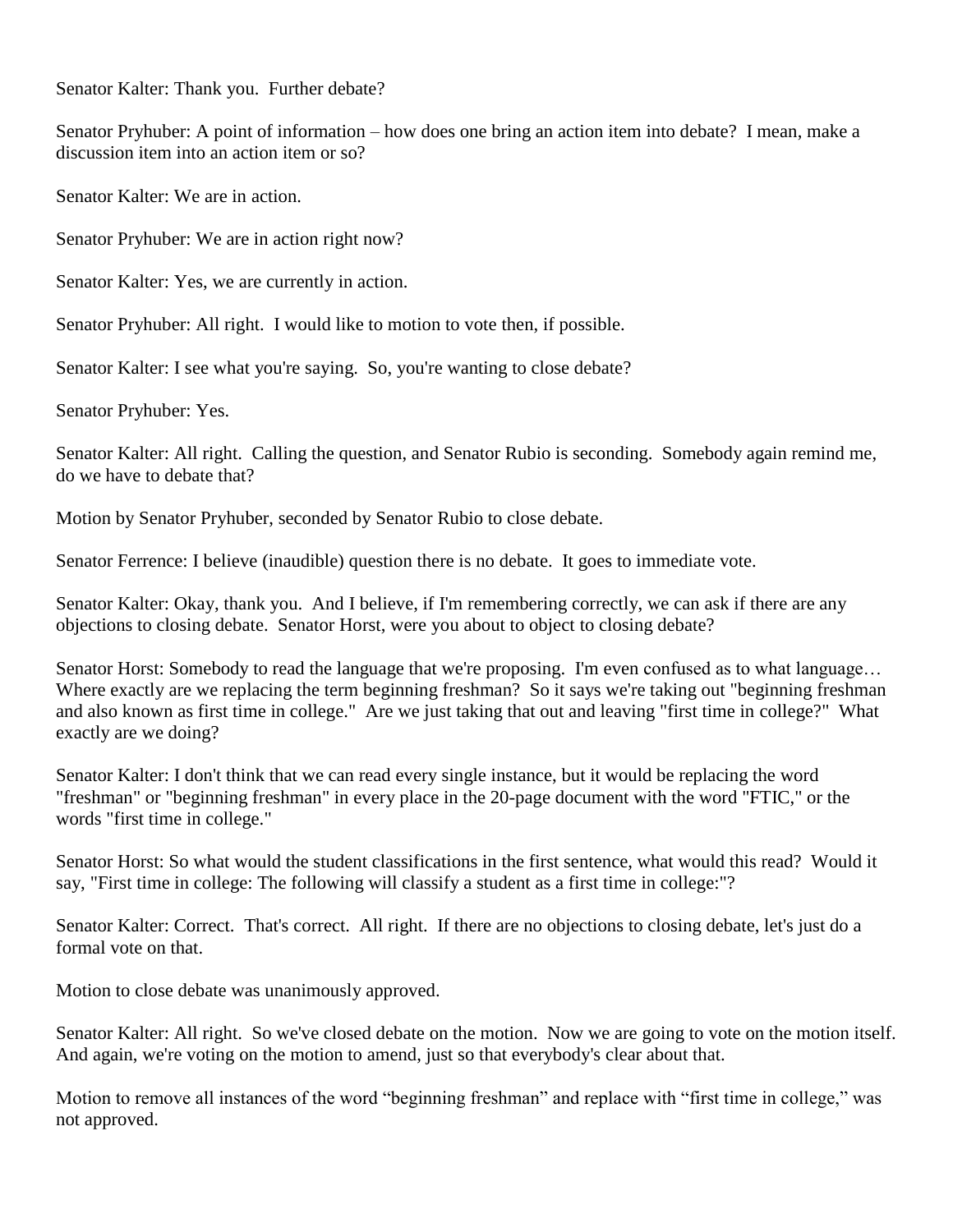Senator Kalter: Thank you. Further debate?

Senator Pryhuber: A point of information – how does one bring an action item into debate? I mean, make a discussion item into an action item or so?

Senator Kalter: We are in action.

Senator Pryhuber: We are in action right now?

Senator Kalter: Yes, we are currently in action.

Senator Pryhuber: All right. I would like to motion to vote then, if possible.

Senator Kalter: I see what you're saying. So, you're wanting to close debate?

Senator Pryhuber: Yes.

Senator Kalter: All right. Calling the question, and Senator Rubio is seconding. Somebody again remind me, do we have to debate that?

Motion by Senator Pryhuber, seconded by Senator Rubio to close debate.

Senator Ferrence: I believe (inaudible) question there is no debate. It goes to immediate vote.

Senator Kalter: Okay, thank you. And I believe, if I'm remembering correctly, we can ask if there are any objections to closing debate. Senator Horst, were you about to object to closing debate?

Senator Horst: Somebody to read the language that we're proposing. I'm even confused as to what language… Where exactly are we replacing the term beginning freshman? So it says we're taking out "beginning freshman and also known as first time in college." Are we just taking that out and leaving "first time in college?" What exactly are we doing?

Senator Kalter: I don't think that we can read every single instance, but it would be replacing the word "freshman" or "beginning freshman" in every place in the 20-page document with the word "FTIC," or the words "first time in college."

Senator Horst: So what would the student classifications in the first sentence, what would this read? Would it say, "First time in college: The following will classify a student as a first time in college:"?

Senator Kalter: Correct. That's correct. All right. If there are no objections to closing debate, let's just do a formal vote on that.

Motion to close debate was unanimously approved.

Senator Kalter: All right. So we've closed debate on the motion. Now we are going to vote on the motion itself. And again, we're voting on the motion to amend, just so that everybody's clear about that.

Motion to remove all instances of the word "beginning freshman" and replace with "first time in college," was not approved.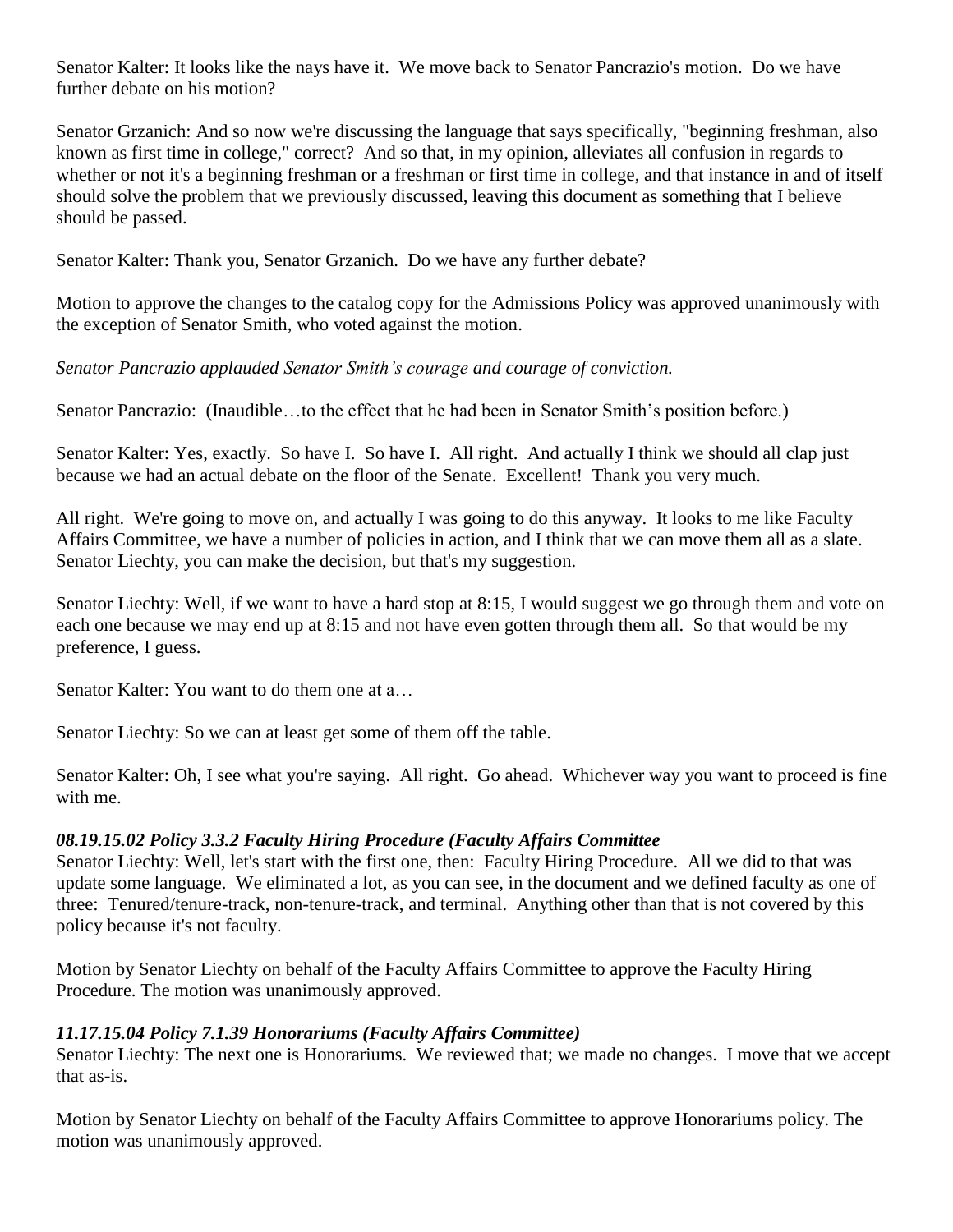Senator Kalter: It looks like the nays have it. We move back to Senator Pancrazio's motion. Do we have further debate on his motion?

Senator Grzanich: And so now we're discussing the language that says specifically, "beginning freshman, also known as first time in college," correct? And so that, in my opinion, alleviates all confusion in regards to whether or not it's a beginning freshman or a freshman or first time in college, and that instance in and of itself should solve the problem that we previously discussed, leaving this document as something that I believe should be passed.

Senator Kalter: Thank you, Senator Grzanich. Do we have any further debate?

Motion to approve the changes to the catalog copy for the Admissions Policy was approved unanimously with the exception of Senator Smith, who voted against the motion.

*Senator Pancrazio applauded Senator Smith's courage and courage of conviction.*

Senator Pancrazio: (Inaudible…to the effect that he had been in Senator Smith's position before.)

Senator Kalter: Yes, exactly. So have I. So have I. All right. And actually I think we should all clap just because we had an actual debate on the floor of the Senate. Excellent! Thank you very much.

All right. We're going to move on, and actually I was going to do this anyway. It looks to me like Faculty Affairs Committee, we have a number of policies in action, and I think that we can move them all as a slate. Senator Liechty, you can make the decision, but that's my suggestion.

Senator Liechty: Well, if we want to have a hard stop at 8:15, I would suggest we go through them and vote on each one because we may end up at 8:15 and not have even gotten through them all. So that would be my preference, I guess.

Senator Kalter: You want to do them one at a…

Senator Liechty: So we can at least get some of them off the table.

Senator Kalter: Oh, I see what you're saying. All right. Go ahead. Whichever way you want to proceed is fine with me.

#### *08.19.15.02 Policy 3.3.2 Faculty Hiring Procedure (Faculty Affairs Committee*

Senator Liechty: Well, let's start with the first one, then: Faculty Hiring Procedure. All we did to that was update some language. We eliminated a lot, as you can see, in the document and we defined faculty as one of three: Tenured/tenure-track, non-tenure-track, and terminal. Anything other than that is not covered by this policy because it's not faculty.

Motion by Senator Liechty on behalf of the Faculty Affairs Committee to approve the Faculty Hiring Procedure. The motion was unanimously approved.

#### *11.17.15.04 Policy 7.1.39 Honorariums (Faculty Affairs Committee)*

Senator Liechty: The next one is Honorariums. We reviewed that; we made no changes. I move that we accept that as-is.

Motion by Senator Liechty on behalf of the Faculty Affairs Committee to approve Honorariums policy. The motion was unanimously approved.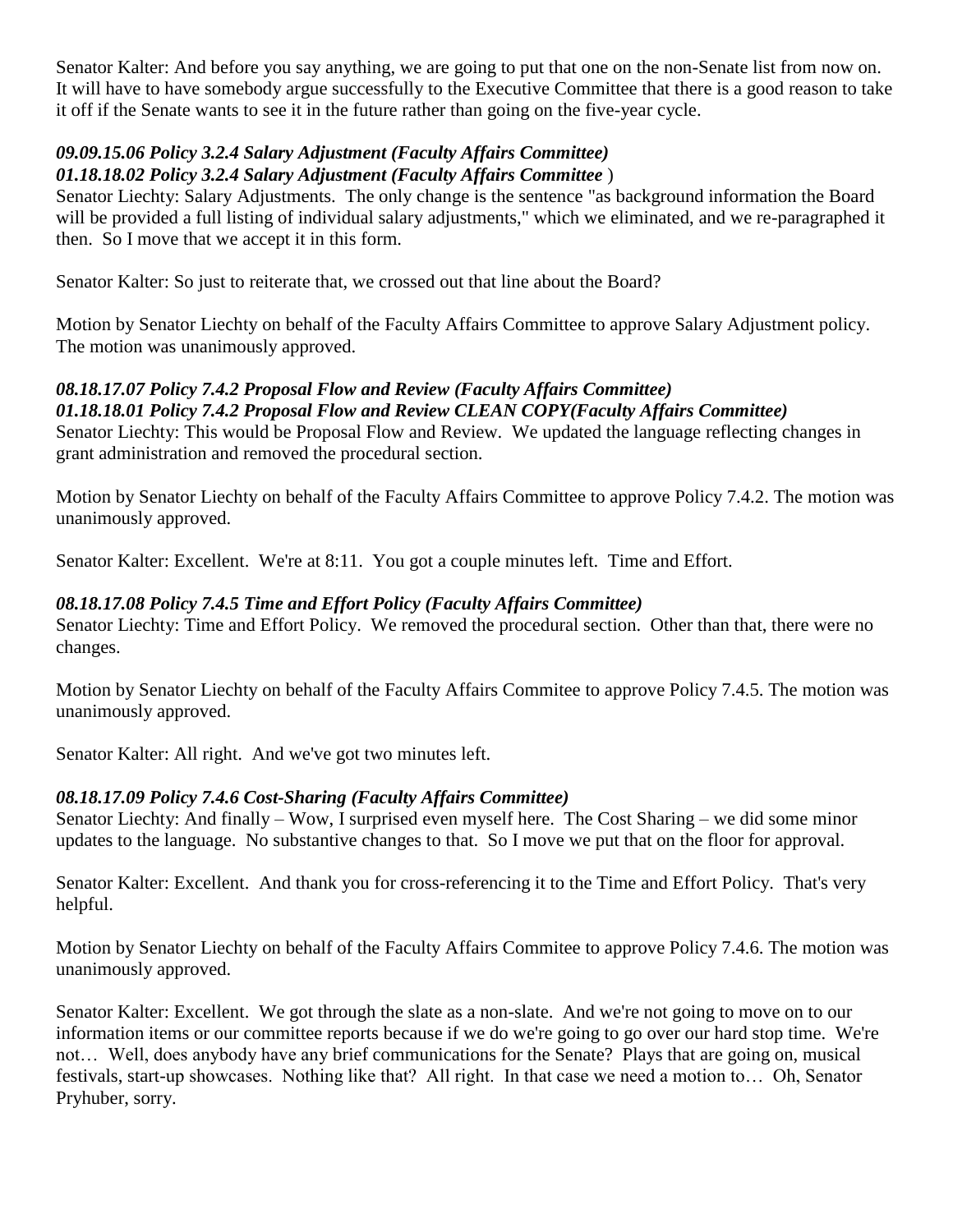Senator Kalter: And before you say anything, we are going to put that one on the non-Senate list from now on. It will have to have somebody argue successfully to the Executive Committee that there is a good reason to take it off if the Senate wants to see it in the future rather than going on the five-year cycle.

#### *09.09.15.06 Policy 3.2.4 Salary Adjustment (Faculty Affairs Committee) 01.18.18.02 Policy 3.2.4 Salary Adjustment (Faculty Affairs Committee* )

Senator Liechty: Salary Adjustments. The only change is the sentence "as background information the Board will be provided a full listing of individual salary adjustments," which we eliminated, and we re-paragraphed it then. So I move that we accept it in this form.

Senator Kalter: So just to reiterate that, we crossed out that line about the Board?

Motion by Senator Liechty on behalf of the Faculty Affairs Committee to approve Salary Adjustment policy. The motion was unanimously approved.

#### *08.18.17.07 Policy 7.4.2 Proposal Flow and Review (Faculty Affairs Committee) 01.18.18.01 Policy 7.4.2 Proposal Flow and Review CLEAN COPY(Faculty Affairs Committee)*

Senator Liechty: This would be Proposal Flow and Review. We updated the language reflecting changes in grant administration and removed the procedural section.

Motion by Senator Liechty on behalf of the Faculty Affairs Committee to approve Policy 7.4.2. The motion was unanimously approved.

Senator Kalter: Excellent. We're at 8:11. You got a couple minutes left. Time and Effort.

## *08.18.17.08 Policy 7.4.5 Time and Effort Policy (Faculty Affairs Committee)*

Senator Liechty: Time and Effort Policy. We removed the procedural section. Other than that, there were no changes.

Motion by Senator Liechty on behalf of the Faculty Affairs Commitee to approve Policy 7.4.5. The motion was unanimously approved.

Senator Kalter: All right. And we've got two minutes left.

## *08.18.17.09 Policy 7.4.6 Cost-Sharing (Faculty Affairs Committee)*

Senator Liechty: And finally – Wow, I surprised even myself here. The Cost Sharing – we did some minor updates to the language. No substantive changes to that. So I move we put that on the floor for approval.

Senator Kalter: Excellent. And thank you for cross-referencing it to the Time and Effort Policy. That's very helpful.

Motion by Senator Liechty on behalf of the Faculty Affairs Commitee to approve Policy 7.4.6. The motion was unanimously approved.

Senator Kalter: Excellent. We got through the slate as a non-slate. And we're not going to move on to our information items or our committee reports because if we do we're going to go over our hard stop time. We're not… Well, does anybody have any brief communications for the Senate? Plays that are going on, musical festivals, start-up showcases. Nothing like that? All right. In that case we need a motion to… Oh, Senator Pryhuber, sorry.